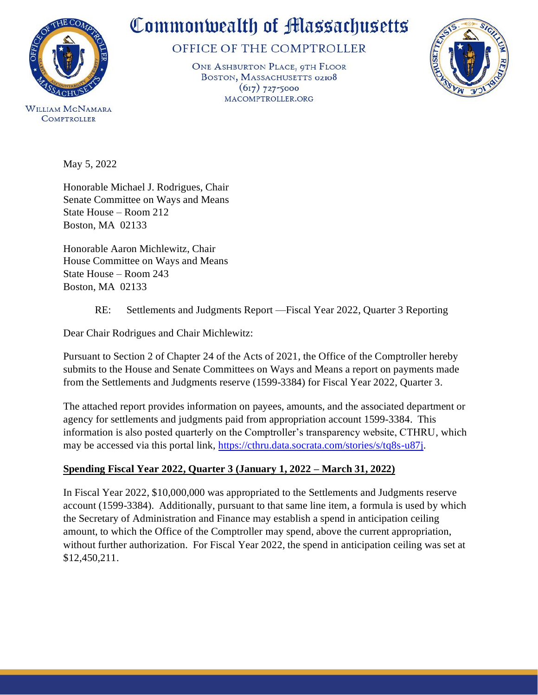

# Commonwealth of Massachusetts

## OFFICE OF THE COMPTROLLER

ONE ASHBURTON PLACE, 9TH FLOOR BOSTON, MASSACHUSETTS 02108  $(617)$  727-5000 MACOMPTROLLER.ORG



**WILLIAM MCNAMARA COMPTROLLER** 

May 5, 2022

Honorable Michael J. Rodrigues, Chair Senate Committee on Ways and Means State House – Room 212 Boston, MA 02133

Honorable Aaron Michlewitz, Chair House Committee on Ways and Means State House – Room 243 Boston, MA 02133

## RE: Settlements and Judgments Report —Fiscal Year 2022, Quarter 3 Reporting

Dear Chair Rodrigues and Chair Michlewitz:

Pursuant to Section 2 of Chapter 24 of the Acts of 2021, the Office of the Comptroller hereby submits to the House and Senate Committees on Ways and Means a report on payments made from the Settlements and Judgments reserve (1599-3384) for Fiscal Year 2022, Quarter 3.

The attached report provides information on payees, amounts, and the associated department or agency for settlements and judgments paid from appropriation account 1599-3384. This information is also posted quarterly on the Comptroller's transparency website, CTHRU, which may be accessed via this portal link, [https://cthru.data.socrata.com/stories/s/tq8s-u87j.](https://cthru.data.socrata.com/stories/s/tq8s-u87j)

## **Spending Fiscal Year 2022, Quarter 3 (January 1, 2022 – March 31, 2022)**

In Fiscal Year 2022, \$10,000,000 was appropriated to the Settlements and Judgments reserve account (1599-3384). Additionally, pursuant to that same line item, a formula is used by which the Secretary of Administration and Finance may establish a spend in anticipation ceiling amount, to which the Office of the Comptroller may spend, above the current appropriation, without further authorization. For Fiscal Year 2022, the spend in anticipation ceiling was set at \$12,450,211.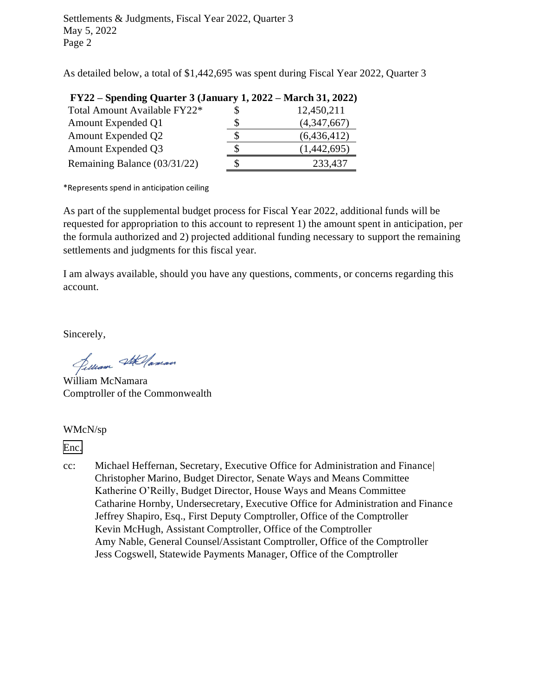Settlements & Judgments, Fiscal Year 2022, Quarter 3 May 5, 2022 Page 2

As detailed below, a total of \$1,442,695 was spent during Fiscal Year 2022, Quarter 3

|    | <b>FY</b> $22$ – Spending Quarter 3 (January 1, $2022$ – March 31, $2022$ ) |
|----|-----------------------------------------------------------------------------|
|    | 12,450,211                                                                  |
| S  | (4,347,667)                                                                 |
| \$ | (6,436,412)                                                                 |
| S  | (1,442,695)                                                                 |
| \$ | 233,437                                                                     |
|    |                                                                             |

# **FY22 – Spending Quarter 3 (January 1, 2022 – March 31, 2022)**

\*Represents spend in anticipation ceiling

As part of the supplemental budget process for Fiscal Year 2022, additional funds will be requested for appropriation to this account to represent 1) the amount spent in anticipation, per the formula authorized and 2) projected additional funding necessary to support the remaining settlements and judgments for this fiscal year.

I am always available, should you have any questions, comments, or concerns regarding this account.

Sincerely,

Jelliam Stellaman

William McNamara Comptroller of the Commonwealth

#### WMcN/sp

[Enc.](#page-2-0)

cc: Michael Heffernan, Secretary, Executive Office for Administration and Finance| Christopher Marino, Budget Director, Senate Ways and Means Committee Katherine O'Reilly, Budget Director, House Ways and Means Committee Catharine Hornby, Undersecretary, Executive Office for Administration and Finance Jeffrey Shapiro, Esq., First Deputy Comptroller, Office of the Comptroller Kevin McHugh, Assistant Comptroller, Office of the Comptroller Amy Nable, General Counsel/Assistant Comptroller, Office of the Comptroller Jess Cogswell, Statewide Payments Manager, Office of the Comptroller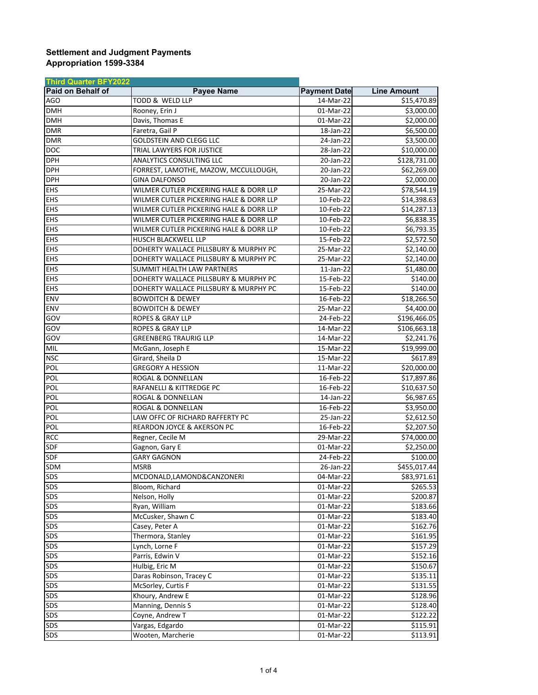#### <span id="page-2-0"></span>**Settlement and Judgment Payments Appropriation 1599-3384**

| <b>Third Quarter BFY2022</b> |                                         |                         |                    |
|------------------------------|-----------------------------------------|-------------------------|--------------------|
| Paid on Behalf of            | <b>Payee Name</b>                       | <b>Payment Date</b>     | <b>Line Amount</b> |
| <b>AGO</b>                   | TODD & WELD LLP                         | 14-Mar-22               | \$15,470.89        |
| <b>DMH</b>                   | Rooney, Erin J                          | 01-Mar-22               | \$3,000.00         |
| <b>DMH</b>                   | Davis, Thomas E                         | 01-Mar-22               | \$2,000.00         |
| <b>DMR</b>                   | Faretra, Gail P                         | 18-Jan-22               | \$6,500.00         |
| <b>DMR</b>                   | <b>GOLDSTEIN AND CLEGG LLC</b>          | 24-Jan-22               | \$3,500.00         |
| <b>DOC</b>                   | TRIAL LAWYERS FOR JUSTICE               | 28-Jan-22               | \$10,000.00        |
| <b>DPH</b>                   | ANALYTICS CONSULTING LLC                | 20-Jan-22               | \$128,731.00       |
| <b>DPH</b>                   | FORREST, LAMOTHE, MAZOW, MCCULLOUGH,    | 20-Jan-22               | \$62,269.00        |
| <b>DPH</b>                   | <b>GINA DALFONSO</b>                    | 20-Jan-22               | \$2,000.00         |
| <b>EHS</b>                   | WILMER CUTLER PICKERING HALE & DORR LLP | 25-Mar-22               | \$78,544.19        |
| <b>EHS</b>                   | WILMER CUTLER PICKERING HALE & DORR LLP | 10-Feb-22               | \$14,398.63        |
| <b>EHS</b>                   | WILMER CUTLER PICKERING HALE & DORR LLP | 10-Feb-22               | \$14,287.13        |
| <b>EHS</b>                   | WILMER CUTLER PICKERING HALE & DORR LLP | 10-Feb-22               | \$6,838.35         |
| <b>EHS</b>                   | WILMER CUTLER PICKERING HALE & DORR LLP | 10-Feb-22               | \$6,793.35         |
| <b>EHS</b>                   | HUSCH BLACKWELL LLP                     | 15-Feb-22               | \$2,572.50         |
| <b>EHS</b>                   | DOHERTY WALLACE PILLSBURY & MURPHY PC   | 25-Mar-22               | \$2,140.00         |
| <b>EHS</b>                   | DOHERTY WALLACE PILLSBURY & MURPHY PC   | 25-Mar-22               | \$2,140.00         |
| <b>EHS</b>                   | SUMMIT HEALTH LAW PARTNERS              | $11$ -Jan-22            | \$1,480.00         |
| <b>EHS</b>                   | DOHERTY WALLACE PILLSBURY & MURPHY PC   | 15-Feb-22               | \$140.00           |
| EHS                          | DOHERTY WALLACE PILLSBURY & MURPHY PC   | 15-Feb-22               | \$140.00           |
| ENV                          | <b>BOWDITCH &amp; DEWEY</b>             | 16-Feb-22               | \$18,266.50        |
| ENV                          | <b>BOWDITCH &amp; DEWEY</b>             | 25-Mar-22               | \$4,400.00         |
| GOV                          | <b>ROPES &amp; GRAY LLP</b>             | 24-Feb-22               | \$196,466.05       |
| GOV                          | ROPES & GRAY LLP                        | 14-Mar-22               | \$106,663.18       |
| GOV                          | <b>GREENBERG TRAURIG LLP</b>            | 14-Mar-22               | \$2,241.76         |
| MIL                          | McGann, Joseph E                        | 15-Mar-22               | \$19,999.00        |
| <b>NSC</b>                   | Girard, Sheila D                        | 15-Mar-22               | \$617.89           |
| POL                          | <b>GREGORY A HESSION</b>                | 11-Mar-22               | \$20,000.00        |
| POL                          | ROGAL & DONNELLAN                       | 16-Feb-22               | \$17,897.86        |
| POL                          | RAFANELLI & KITTREDGE PC                | 16-Feb-22               | \$10,637.50        |
| POL                          | ROGAL & DONNELLAN                       | 14-Jan-22               | \$6,987.65         |
| POL                          | ROGAL & DONNELLAN                       | 16-Feb-22               | \$3,950.00         |
| POL                          | LAW OFFC OF RICHARD RAFFERTY PC         | 25-Jan-22               | \$2,612.50         |
| POL                          | REARDON JOYCE & AKERSON PC              | 16-Feb-22               | \$2,207.50         |
| <b>RCC</b>                   | Regner, Cecile M                        | 29-Mar-22               | \$74,000.00        |
| SDF                          | Gagnon, Gary E                          | $\overline{01}$ -Mar-22 | \$2,250.00         |
| SDF                          | <b>GARY GAGNON</b>                      | 24-Feb-22               | \$100.00           |
| <b>SDM</b>                   | <b>MSRB</b>                             | 26-Jan-22               | \$455,017.44       |
| <b>SDS</b>                   | MCDONALD, LAMOND& CANZONERI             | 04-Mar-22               | \$83,971.61        |
| SDS                          | Bloom, Richard                          | 01-Mar-22               | \$265.53           |
| <b>SDS</b>                   | Nelson, Holly                           | 01-Mar-22               | \$200.87           |
| <b>SDS</b>                   | Ryan, William                           | $01-Mar-22$             | \$183.66           |
| SDS                          | McCusker, Shawn C                       | 01-Mar-22               | \$183.40           |
| SDS                          | Casey, Peter A                          | 01-Mar-22               | \$162.76           |
| SDS                          | Thermora, Stanley                       | 01-Mar-22               | \$161.95           |
| SDS                          | Lynch, Lorne F                          |                         | \$157.29           |
| SDS                          | Parris, Edwin V                         | 01-Mar-22<br>01-Mar-22  | \$152.16           |
| SDS                          | Hulbig, Eric M                          |                         | \$150.67           |
| SDS                          | Daras Robinson, Tracey C                | 01-Mar-22               |                    |
| SDS                          |                                         | 01-Mar-22               | \$135.11           |
|                              | McSorley, Curtis F                      | 01-Mar-22               | \$131.55           |
| SDS                          | Khoury, Andrew E                        | 01-Mar-22               | \$128.96           |
| SDS                          | Manning, Dennis S                       | 01-Mar-22               | \$128.40           |
| <b>SDS</b>                   | Coyne, Andrew T                         | 01-Mar-22               | \$122.22           |
| SDS                          | Vargas, Edgardo                         | 01-Mar-22               | \$115.91           |
| SDS                          | Wooten, Marcherie                       | 01-Mar-22               | \$113.91           |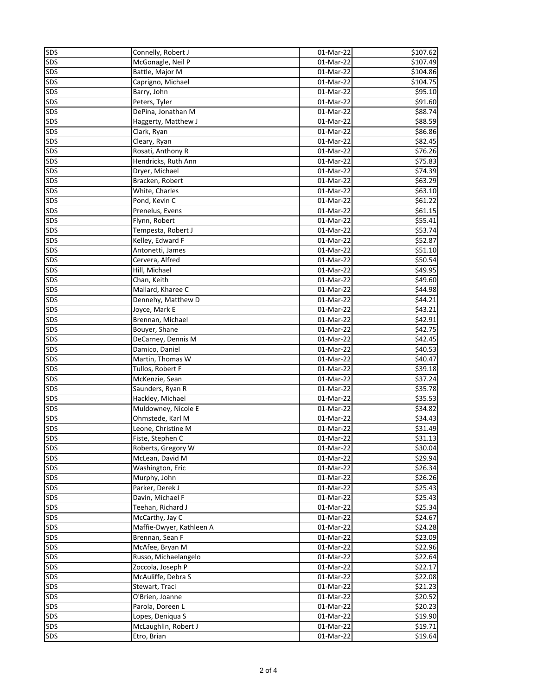| <b>SDS</b> | Connelly, Robert J       | 01-Mar-22               | $\overline{$}107.62$ |
|------------|--------------------------|-------------------------|----------------------|
| SDS        | McGonagle, Neil P        | 01-Mar-22               | \$107.49             |
| SDS        | Battle, Major M          | 01-Mar-22               | \$104.86             |
| SDS        | Caprigno, Michael        | 01-Mar-22               | \$104.75             |
| SDS        | Barry, John              | 01-Mar-22               | \$95.10              |
| SDS        | Peters, Tyler            | $\overline{01}$ -Mar-22 | \$91.60              |
| SDS        | DePina, Jonathan M       | 01-Mar-22               | \$88.74              |
| SDS        | Haggerty, Matthew J      | 01-Mar-22               | \$88.59              |
| SDS        | Clark, Ryan              | 01-Mar-22               | \$86.86              |
| SDS        | Cleary, Ryan             | 01-Mar-22               | \$82.45              |
| SDS        | Rosati, Anthony R        | 01-Mar-22               | \$76.26              |
| SDS        |                          | 01-Mar-22               | \$75.83              |
|            | Hendricks, Ruth Ann      |                         |                      |
| SDS        | Dryer, Michael           | 01-Mar-22               | \$74.39              |
| SDS        | Bracken, Robert          | 01-Mar-22               | \$63.29              |
| SDS        | White, Charles           | 01-Mar-22               | \$63.10              |
| SDS        | Pond, Kevin C            | 01-Mar-22               | \$61.22              |
| SDS        | Prenelus, Evens          | 01-Mar-22               | \$61.15              |
| SDS        | Flynn, Robert            | 01-Mar-22               | $\overline{$}55.41$  |
| SDS        | Tempesta, Robert J       | 01-Mar-22               | \$53.74              |
| SDS        | Kelley, Edward F         | 01-Mar-22               | \$52.87              |
| <b>SDS</b> | Antonetti, James         | 01-Mar-22               | \$51.10              |
| <b>SDS</b> | Cervera, Alfred          | $01-Mar-22$             | \$50.54              |
| <b>SDS</b> | Hill, Michael            | 01-Mar-22               | \$49.95              |
| SDS        | Chan, Keith              | 01-Mar-22               | \$49.60              |
| <b>SDS</b> | Mallard, Kharee C        | 01-Mar-22               | \$44.98              |
| SDS        | Dennehy, Matthew D       | 01-Mar-22               | \$44.21              |
| SDS        | Joyce, Mark E            | 01-Mar-22               | \$43.21              |
| SDS        | Brennan, Michael         | 01-Mar-22               | \$42.91              |
| SDS        | Bouyer, Shane            | 01-Mar-22               | \$42.75              |
| SDS        | DeCarney, Dennis M       | 01-Mar-22               | \$42.45              |
| SDS        | Damico, Daniel           | 01-Mar-22               | \$40.53              |
| SDS        | Martin, Thomas W         | 01-Mar-22               | \$40.47              |
| SDS        | Tullos, Robert F         | 01-Mar-22               | \$39.18              |
| SDS        | McKenzie, Sean           | 01-Mar-22               | 537.24               |
| SDS        | Saunders, Ryan R         | 01-Mar-22               | 535.78               |
| SDS        | Hackley, Michael         | 01-Mar-22               | \$35.53              |
| SDS        | Muldowney, Nicole E      | 01-Mar-22               | \$34.82              |
| SDS        | Ohmstede, Karl M         | 01-Mar-22               | \$34.43              |
| <b>SDS</b> | Leone, Christine M       | 01-Mar-22               | \$31.49              |
| SDS        | Fiste. Stephen C         |                         | \$31.13              |
|            |                          | 01-Mar-22               |                      |
| SDS        | Roberts, Gregory W       | 01-Mar-22               | \$30.04              |
| SDS        | McLean, David M          | 01-Mar-22               | \$29.94              |
| SDS        | Washington, Eric         | 01-Mar-22               | \$26.34              |
| SDS        | Murphy, John             | $\overline{0}$ 1-Mar-22 | \$26.26              |
| SDS        | Parker, Derek J          | 01-Mar-22               | \$25.43              |
| <b>SDS</b> | Davin, Michael F         | 01-Mar-22               | \$25.43              |
| <b>SDS</b> | Teehan, Richard J        | 01-Mar-22               | \$25.34              |
| <b>SDS</b> | McCarthy, Jay C          | 01-Mar-22               | \$24.67              |
| <b>SDS</b> | Maffie-Dwyer, Kathleen A | 01-Mar-22               | \$24.28              |
| <b>SDS</b> | Brennan, Sean F          | 01-Mar-22               | \$23.09              |
| <b>SDS</b> | McAfee, Bryan M          | $\overline{0}$ 1-Mar-22 | \$22.96              |
| <b>SDS</b> | Russo, Michaelangelo     | 01-Mar-22               | \$22.64              |
| <b>SDS</b> | Zoccola, Joseph P        | 01-Mar-22               | \$22.17              |
| SDS        | McAuliffe, Debra S       | 01-Mar-22               | \$22.08              |
| SDS        | Stewart, Traci           | 01-Mar-22               | $\overline{$}21.23$  |
| SDS        | O'Brien, Joanne          | 01-Mar-22               | \$20.52              |
| SDS        | Parola, Doreen L         | 01-Mar-22               | \$20.23              |
| SDS        | Lopes, Deniqua S         | 01-Mar-22               | \$19.90              |
| SDS        | McLaughlin, Robert J     | 01-Mar-22               | \$19.71              |
| SDS        | Etro, Brian              | 01-Mar-22               | \$19.64              |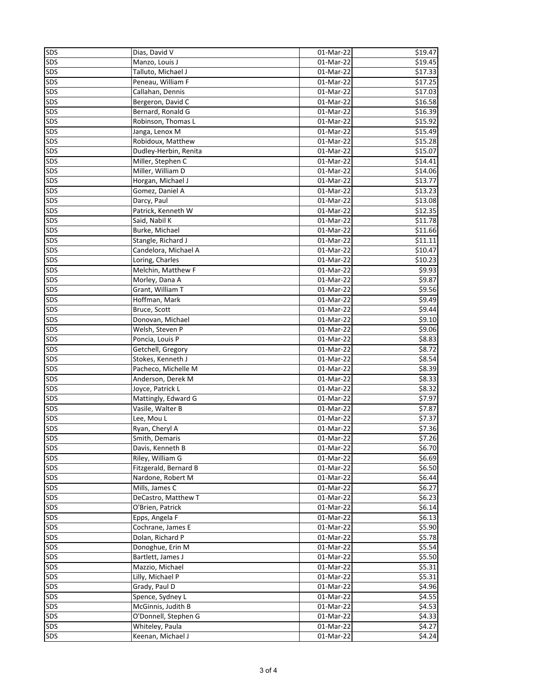| SDS        | Dias, David V         | 01-Mar-22               | \$19.47          |
|------------|-----------------------|-------------------------|------------------|
| SDS        | Manzo, Louis J        | 01-Mar-22               | 519.45           |
| SDS        | Talluto, Michael J    | 01-Mar-22               | \$17.33          |
| SDS        | Peneau, William F     | 01-Mar-22               | \$17.25          |
| SDS        | Callahan, Dennis      | 01-Mar-22               | \$17.03          |
| SDS        | Bergeron, David C     | 01-Mar-22               | \$16.58          |
| SDS        | Bernard, Ronald G     | 01-Mar-22               | \$16.39          |
| SDS        | Robinson, Thomas L    | 01-Mar-22               | \$15.92          |
|            |                       |                         |                  |
| SDS        | Janga, Lenox M        | 01-Mar-22               | \$15.49          |
| SDS        | Robidoux, Matthew     | 01-Mar-22               | \$15.28          |
| SDS        | Dudley-Herbin, Renita | 01-Mar-22               | \$15.07          |
| SDS        | Miller, Stephen C     | 01-Mar-22               | \$14.41          |
| SDS        | Miller, William D     | 01-Mar-22               | \$14.06          |
| SDS        | Horgan, Michael J     | 01-Mar-22               | \$13.77          |
| SDS        | Gomez, Daniel A       | 01-Mar-22               | \$13.23          |
| SDS        | Darcy, Paul           | 01-Mar-22               | \$13.08          |
| SDS        | Patrick, Kenneth W    | 01-Mar-22               | \$12.35          |
| SDS        | Said, Nabil K         | 01-Mar-22               | \$11.78          |
| SDS        | Burke, Michael        | 01-Mar-22               | \$11.66          |
| SDS        | Stangle, Richard J    | 01-Mar-22               | \$11.11          |
| SDS        | Candelora, Michael A  | 01-Mar-22               | \$10.47          |
| SDS        | Loring, Charles       | $\overline{01}$ -Mar-22 | \$10.23          |
| <b>SDS</b> | Melchin, Matthew F    | 01-Mar-22               | \$9.93           |
| <b>SDS</b> | Morley, Dana A        | 01-Mar-22               | \$9.87           |
| SDS        | Grant, William T      | $\overline{01}$ -Mar-22 | \$9.56           |
| SDS        | Hoffman, Mark         | 01-Mar-22               | \$9.49           |
| SDS        | Bruce, Scott          | 01-Mar-22               | \$9.44           |
| SDS        | Donovan, Michael      | 01-Mar-22               | 59.10            |
| SDS        | Welsh, Steven P       | 01-Mar-22               | \$9.06           |
| SDS        | Poncia, Louis P       | 01-Mar-22               | \$8.83           |
| SDS        | Getchell, Gregory     | 01-Mar-22               | \$8.72           |
| SDS        | Stokes, Kenneth J     | 01-Mar-22               | \$8.54           |
| SDS        | Pacheco, Michelle M   | 01-Mar-22               | \$8.39           |
| SDS        | Anderson, Derek M     | $\overline{01}$ -Mar-22 | \$8.33           |
| SDS        | Joyce, Patrick L      | 01-Mar-22               | 58.32            |
| <b>SDS</b> | Mattingly, Edward G   | 01-Mar-22               | \$7.97           |
|            | Vasile, Walter B      |                         |                  |
| SDS        |                       | 01-Mar-22               | \$7.87<br>\$7.37 |
| SDS        | Lee, Mou L            | 01-Mar-22               |                  |
| SDS        | Ryan, Cheryl A        | 01-Mar-22               | \$7.36           |
| <b>SDS</b> | Smith, Demaris        | 01-Mar-22               | \$7.26           |
| SDS        | Davis, Kenneth B      | 01-Mar-22               | \$6.70           |
| SDS        | Riley, William G      | 01-Mar-22               | \$6.69           |
| SDS        | Fitzgerald, Bernard B | 01-Mar-22               | \$6.50           |
| SDS        | Nardone, Robert M     | 01-Mar-22               | \$6.44           |
| SDS        | Mills, James C        | 01-Mar-22               | \$6.27           |
| <b>SDS</b> | DeCastro, Matthew T   | 01-Mar-22               | \$6.23           |
| <b>SDS</b> | O'Brien, Patrick      | 01-Mar-22               | \$6.14           |
| <b>SDS</b> | Epps, Angela F        | 01-Mar-22               | \$6.13           |
| <b>SDS</b> | Cochrane, James E     | 01-Mar-22               | \$5.90           |
| SDS        | Dolan, Richard P      | 01-Mar-22               | \$5.78           |
| SDS        | Donoghue, Erin M      | $\overline{01}$ -Mar-22 | \$5.54           |
| SDS        | Bartlett, James J     | $\overline{01}$ -Mar-22 | \$5.50           |
| SDS        | Mazzio, Michael       | 01-Mar-22               | \$5.31           |
| SDS        | Lilly, Michael P      | 01-Mar-22               | \$5.31           |
| SDS        | Grady, Paul D         | 01-Mar-22               | \$4.96           |
| SDS        | Spence, Sydney L      | 01-Mar-22               | \$4.55           |
| SDS        | McGinnis, Judith B    | $\overline{0}$ 1-Mar-22 | \$4.53           |
| SDS        | O'Donnell, Stephen G  | 01-Mar-22               | \$4.33           |
| SDS        | Whiteley, Paula       | 01-Mar-22               | \$4.27           |
| SDS        | Keenan, Michael J     | 01-Mar-22               | 54.24            |
|            |                       |                         |                  |